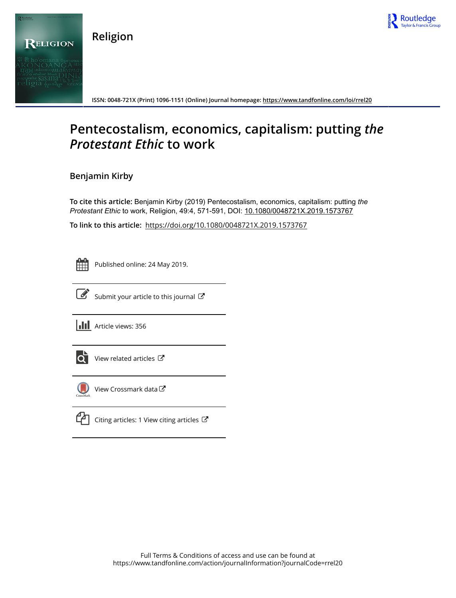

**Religion**



**ISSN: 0048-721X (Print) 1096-1151 (Online) Journal homepage: https://www.tandfonline.com/loi/rrel20**

# **Pentecostalism, economics, capitalism: putting** *the Protestant Ethic* **to work**

# **Benjamin Kirby**

**To cite this article:** Benjamin Kirby (2019) Pentecostalism, economics, capitalism: putting *the ProtestantEthic* to work, Religion, 49:4, 571-591, DOI: 10.1080/0048721X.2019.1573767

**To link to this article:** https://doi.org/10.1080/0048721X.2019.1573767

Published online: 24 May 2019.



 $\overrightarrow{S}$  Submit your article to this journal  $\overrightarrow{S}$ 

**III** Article views: 356



 $\overrightarrow{Q}$  View related articles  $\overrightarrow{C}$ 



View Crossmark data $\mathbb{Z}$ 



Citing articles: 1 View citing articles  $\mathbb{Z}$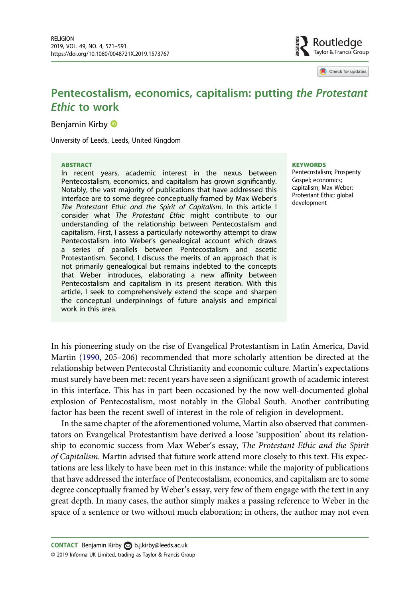

Check for updates

# Pentecostalism, economics, capitalism: putting the Protestant Ethic to work

Benjamin Kirby **D** 

University of Leeds, Leeds, United Kingdom

#### ABSTRACT

In recent years, academic interest in the nexus between Pentecostalism, economics, and capitalism has grown significantly. Notably, the vast majority of publications that have addressed this interface are to some degree conceptually framed by Max Weber's The Protestant Ethic and the Spirit of Capitalism. In this article I consider what The Protestant Ethic might contribute to our understanding of the relationship between Pentecostalism and capitalism. First, I assess a particularly noteworthy attempt to draw Pentecostalism into Weber's genealogical account which draws a series of parallels between Pentecostalism and ascetic Protestantism. Second, I discuss the merits of an approach that is not primarily genealogical but remains indebted to the concepts that Weber introduces, elaborating a new affinity between Pentecostalism and capitalism in its present iteration. With this article, I seek to comprehensively extend the scope and sharpen the conceptual underpinnings of future analysis and empirical work in this area.

#### **KEYWORDS**

Pentecostalism; Prosperity Gospel; economics; capitalism; Max Weber; Protestant Ethic; global development

In his pioneering study on the rise of Evangelical Protestantism in Latin America, David Martin (1990, 205–206) recommended that more scholarly attention be directed at the relationship between Pentecostal Christianity and economic culture. Martin's expectations must surely have been met: recent years have seen a significant growth of academic interest in this interface. This has in part been occasioned by the now well-documented global explosion of Pentecostalism, most notably in the Global South. Another contributing factor has been the recent swell of interest in the role of religion in development.

In the same chapter of the aforementioned volume, Martin also observed that commentators on Evangelical Protestantism have derived a loose 'supposition' about its relationship to economic success from Max Weber's essay, The Protestant Ethic and the Spirit of Capitalism. Martin advised that future work attend more closely to this text. His expectations are less likely to have been met in this instance: while the majority of publications that have addressed the interface of Pentecostalism, economics, and capitalism are to some degree conceptually framed by Weber's essay, very few of them engage with the text in any great depth. In many cases, the author simply makes a passing reference to Weber in the space of a sentence or two without much elaboration; in others, the author may not even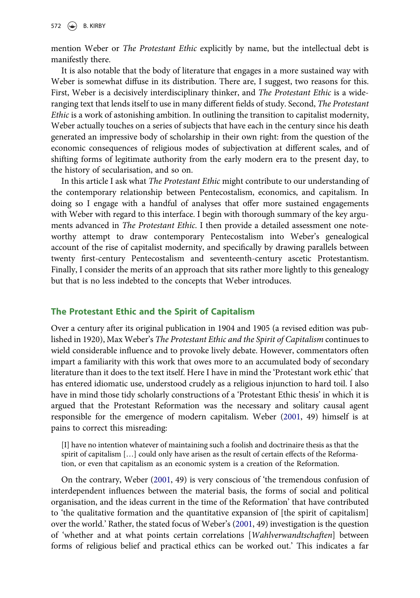mention Weber or The Protestant Ethic explicitly by name, but the intellectual debt is manifestly there.

It is also notable that the body of literature that engages in a more sustained way with Weber is somewhat diffuse in its distribution. There are, I suggest, two reasons for this. First, Weber is a decisively interdisciplinary thinker, and The Protestant Ethic is a wideranging text that lends itself to use in many different fields of study. Second, The Protestant Ethic is a work of astonishing ambition. In outlining the transition to capitalist modernity, Weber actually touches on a series of subjects that have each in the century since his death generated an impressive body of scholarship in their own right: from the question of the economic consequences of religious modes of subjectivation at different scales, and of shifting forms of legitimate authority from the early modern era to the present day, to the history of secularisation, and so on.

In this article I ask what The Protestant Ethic might contribute to our understanding of the contemporary relationship between Pentecostalism, economics, and capitalism. In doing so I engage with a handful of analyses that offer more sustained engagements with Weber with regard to this interface. I begin with thorough summary of the key arguments advanced in *The Protestant Ethic*. I then provide a detailed assessment one noteworthy attempt to draw contemporary Pentecostalism into Weber's genealogical account of the rise of capitalist modernity, and specifically by drawing parallels between twenty first-century Pentecostalism and seventeenth-century ascetic Protestantism. Finally, I consider the merits of an approach that sits rather more lightly to this genealogy but that is no less indebted to the concepts that Weber introduces.

## The Protestant Ethic and the Spirit of Capitalism

Over a century after its original publication in 1904 and 1905 (a revised edition was published in 1920), Max Weber's The Protestant Ethic and the Spirit of Capitalism continues to wield considerable influence and to provoke lively debate. However, commentators often impart a familiarity with this work that owes more to an accumulated body of secondary literature than it does to the text itself. Here I have in mind the 'Protestant work ethic' that has entered idiomatic use, understood crudely as a religious injunction to hard toil. I also have in mind those tidy scholarly constructions of a 'Protestant Ethic thesis' in which it is argued that the Protestant Reformation was the necessary and solitary causal agent responsible for the emergence of modern capitalism. Weber (2001, 49) himself is at pains to correct this misreading:

[I] have no intention whatever of maintaining such a foolish and doctrinaire thesis as that the spirit of capitalism […] could only have arisen as the result of certain effects of the Reformation, or even that capitalism as an economic system is a creation of the Reformation.

On the contrary, Weber (2001, 49) is very conscious of 'the tremendous confusion of interdependent influences between the material basis, the forms of social and political organisation, and the ideas current in the time of the Reformation' that have contributed to 'the qualitative formation and the quantitative expansion of [the spirit of capitalism] over the world.' Rather, the stated focus of Weber's (2001, 49) investigation is the question of 'whether and at what points certain correlations [Wahlverwandtschaften] between forms of religious belief and practical ethics can be worked out.' This indicates a far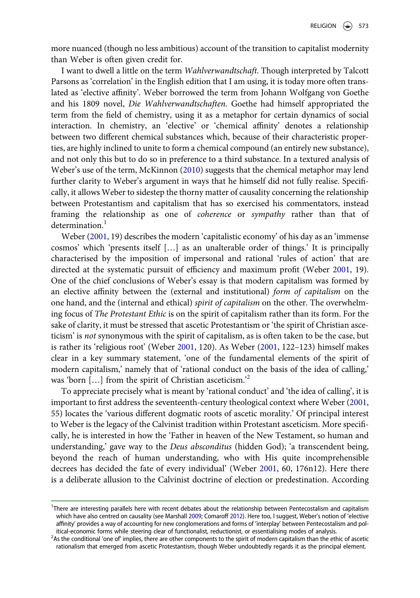more nuanced (though no less ambitious) account of the transition to capitalist modernity than Weber is often given credit for.

I want to dwell a little on the term Wahlverwandtschaft. Though interpreted by Talcott Parsons as 'correlation' in the English edition that I am using, it is today more often translated as 'elective affinity'. Weber borrowed the term from Johann Wolfgang von Goethe and his 1809 novel, Die Wahlverwandtschaften. Goethe had himself appropriated the term from the field of chemistry, using it as a metaphor for certain dynamics of social interaction. In chemistry, an 'elective' or 'chemical affinity' denotes a relationship between two different chemical substances which, because of their characteristic properties, are highly inclined to unite to form a chemical compound (an entirely new substance), and not only this but to do so in preference to a third substance. In a textured analysis of Weber's use of the term, McKinnon (2010) suggests that the chemical metaphor may lend further clarity to Weber's argument in ways that he himself did not fully realise. Specifically, it allows Weber to sidestep the thorny matter of causality concerning the relationship between Protestantism and capitalism that has so exercised his commentators, instead framing the relationship as one of coherence or sympathy rather than that of determination.<sup>1</sup>

Weber (2001, 19) describes the modern 'capitalistic economy' of his day as an 'immense cosmos' which 'presents itself […] as an unalterable order of things.' It is principally characterised by the imposition of impersonal and rational 'rules of action' that are directed at the systematic pursuit of efficiency and maximum profit (Weber 2001, 19). One of the chief conclusions of Weber's essay is that modern capitalism was formed by an elective affinity between the (external and institutional) form of capitalism on the one hand, and the (internal and ethical) spirit of capitalism on the other. The overwhelming focus of The Protestant Ethic is on the spirit of capitalism rather than its form. For the sake of clarity, it must be stressed that ascetic Protestantism or 'the spirit of Christian asceticism' is not synonymous with the spirit of capitalism, as is often taken to be the case, but is rather its 'religious root' (Weber 2001, 120). As Weber (2001, 122–123) himself makes clear in a key summary statement, 'one of the fundamental elements of the spirit of modern capitalism,' namely that of 'rational conduct on the basis of the idea of calling,' was 'born [...] from the spirit of Christian asceticism.<sup>22</sup>

To appreciate precisely what is meant by 'rational conduct' and 'the idea of calling', it is important to first address the seventeenth-century theological context where Weber (2001, 55) locates the 'various different dogmatic roots of ascetic morality.' Of principal interest to Weber is the legacy of the Calvinist tradition within Protestant asceticism. More specifically, he is interested in how the 'Father in heaven of the New Testament, so human and understanding,' gave way to the Deus absconditus (hidden God); 'a transcendent being, beyond the reach of human understanding, who with His quite incomprehensible decrees has decided the fate of every individual' (Weber 2001, 60, 176n12). Here there is a deliberate allusion to the Calvinist doctrine of election or predestination. According

<sup>&</sup>lt;sup>1</sup>There are interesting parallels here with recent debates about the relationship between Pentecostalism and capitalism which have also centred on causality (see Marshall 2009; Comaroff 2012). Here too, I suggest, Weber's notion of 'elective affinity' provides a way of accounting for new conglomerations and forms of 'interplay' between Pentecostalism and political-economic forms while steering clear of functionalist, reductionist, or essentialising modes of analysis.

<sup>&</sup>lt;sup>2</sup>As the conditional 'one of' implies, there are other components to the spirit of modern capitalism than the ethic of ascetic rationalism that emerged from ascetic Protestantism, though Weber undoubtedly regards it as the principal element.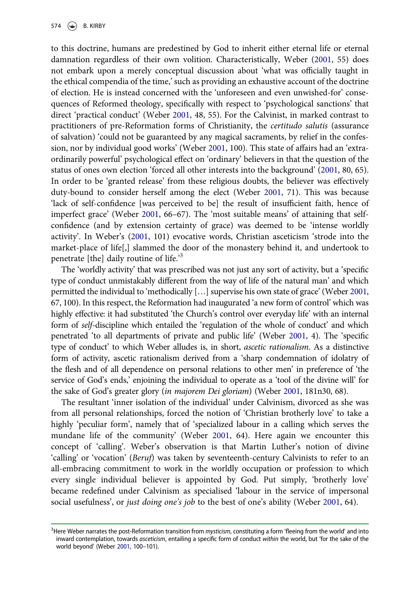to this doctrine, humans are predestined by God to inherit either eternal life or eternal damnation regardless of their own volition. Characteristically, Weber (2001, 55) does not embark upon a merely conceptual discussion about 'what was officially taught in the ethical compendia of the time,' such as providing an exhaustive account of the doctrine of election. He is instead concerned with the 'unforeseen and even unwished-for' consequences of Reformed theology, specifically with respect to 'psychological sanctions' that direct 'practical conduct' (Weber 2001, 48, 55). For the Calvinist, in marked contrast to practitioners of pre-Reformation forms of Christianity, the certitudo salutis (assurance of salvation) 'could not be guaranteed by any magical sacraments, by relief in the confession, nor by individual good works' (Weber 2001, 100). This state of affairs had an 'extraordinarily powerful' psychological effect on 'ordinary' believers in that the question of the status of ones own election 'forced all other interests into the background' (2001, 80, 65). In order to be 'granted release' from these religious doubts, the believer was effectively duty-bound to consider herself among the elect (Weber 2001, 71). This was because 'lack of self-confidence [was perceived to be] the result of insufficient faith, hence of imperfect grace' (Weber 2001, 66–67). The 'most suitable means' of attaining that selfconfidence (and by extension certainty of grace) was deemed to be 'intense worldly activity'. In Weber's (2001, 101) evocative words, Christian asceticism 'strode into the market-place of life[,] slammed the door of the monastery behind it, and undertook to penetrate [the] daily routine of life.<sup>3</sup>

The 'worldly activity' that was prescribed was not just any sort of activity, but a 'specific type of conduct unmistakably different from the way of life of the natural man' and which permitted the individual to 'methodically […] supervise his own state of grace' (Weber 2001, 67, 100). In this respect, the Reformation had inaugurated 'a new form of control' which was highly effective: it had substituted 'the Church's control over everyday life' with an internal form of self-discipline which entailed the 'regulation of the whole of conduct' and which penetrated 'to all departments of private and public life' (Weber 2001, 4). The 'specific type of conduct' to which Weber alludes is, in short, ascetic rationalism. As a distinctive form of activity, ascetic rationalism derived from a 'sharp condemnation of idolatry of the flesh and of all dependence on personal relations to other men' in preference of 'the service of God's ends,' enjoining the individual to operate as a 'tool of the divine will' for the sake of God's greater glory (in majorem Dei gloriam) (Weber 2001, 181n30, 68).

The resultant 'inner isolation of the individual' under Calvinism, divorced as she was from all personal relationships, forced the notion of 'Christian brotherly love' to take a highly 'peculiar form', namely that of 'specialized labour in a calling which serves the mundane life of the community' (Weber 2001, 64). Here again we encounter this concept of 'calling'. Weber's observation is that Martin Luther's notion of divine 'calling' or 'vocation' (Beruf) was taken by seventeenth-century Calvinists to refer to an all-embracing commitment to work in the worldly occupation or profession to which every single individual believer is appointed by God. Put simply, 'brotherly love' became redefined under Calvinism as specialised 'labour in the service of impersonal social usefulness', or just doing one's job to the best of one's ability (Weber 2001, 64).

<sup>&</sup>lt;sup>3</sup>Here Weber narrates the post-Reformation transition from *mysticism*, constituting a form 'fleeing from the world' and into inward contemplation, towards asceticism, entailing a specific form of conduct within the world, but 'for the sake of the world beyond' (Weber 2001, 100–101).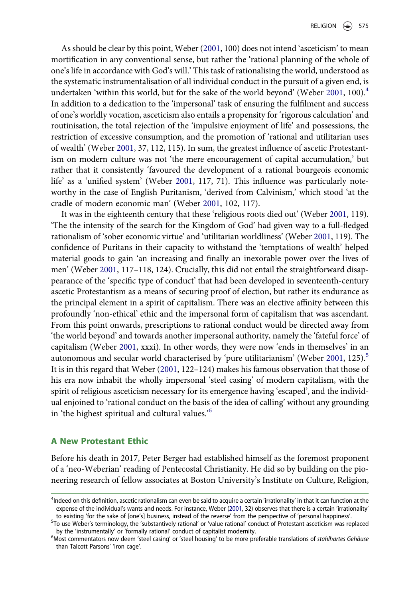As should be clear by this point, Weber (2001, 100) does not intend 'asceticism' to mean mortification in any conventional sense, but rather the 'rational planning of the whole of one's life in accordance with God's will.' This task of rationalising the world, understood as the systematic instrumentalisation of all individual conduct in the pursuit of a given end, is undertaken 'within this world, but for the sake of the world beyond' (Weber 2001, 100).<sup>4</sup> In addition to a dedication to the 'impersonal' task of ensuring the fulfilment and success of one's worldly vocation, asceticism also entails a propensity for 'rigorous calculation' and routinisation, the total rejection of the 'impulsive enjoyment of life' and possessions, the restriction of excessive consumption, and the promotion of 'rational and utilitarian uses of wealth' (Weber 2001, 37, 112, 115). In sum, the greatest influence of ascetic Protestantism on modern culture was not 'the mere encouragement of capital accumulation,' but rather that it consistently 'favoured the development of a rational bourgeois economic life' as a 'unified system' (Weber 2001, 117, 71). This influence was particularly noteworthy in the case of English Puritanism, 'derived from Calvinism,' which stood 'at the cradle of modern economic man' (Weber 2001, 102, 117).

It was in the eighteenth century that these 'religious roots died out' (Weber 2001, 119). 'The the intensity of the search for the Kingdom of God' had given way to a full-fledged rationalism of 'sober economic virtue' and 'utilitarian worldliness' (Weber 2001, 119). The confidence of Puritans in their capacity to withstand the 'temptations of wealth' helped material goods to gain 'an increasing and finally an inexorable power over the lives of men' (Weber 2001, 117–118, 124). Crucially, this did not entail the straightforward disappearance of the 'specific type of conduct' that had been developed in seventeenth-century ascetic Protestantism as a means of securing proof of election, but rather its endurance as the principal element in a spirit of capitalism. There was an elective affinity between this profoundly 'non-ethical' ethic and the impersonal form of capitalism that was ascendant. From this point onwards, prescriptions to rational conduct would be directed away from 'the world beyond' and towards another impersonal authority, namely the 'fateful force' of capitalism (Weber 2001, xxxi). In other words, they were now 'ends in themselves' in an autonomous and secular world characterised by 'pure utilitarianism' (Weber 2001, 125). $^5$ It is in this regard that Weber (2001, 122–124) makes his famous observation that those of his era now inhabit the wholly impersonal 'steel casing' of modern capitalism, with the spirit of religious asceticism necessary for its emergence having 'escaped', and the individual enjoined to 'rational conduct on the basis of the idea of calling' without any grounding in 'the highest spiritual and cultural values.'<sup>6</sup>

## A New Protestant Ethic

Before his death in 2017, Peter Berger had established himself as the foremost proponent of a 'neo-Weberian' reading of Pentecostal Christianity. He did so by building on the pioneering research of fellow associates at Boston University's Institute on Culture, Religion,

<sup>4</sup> Indeed on this definition, ascetic rationalism can even be said to acquire a certain 'irrationality' in that it can function at the expense of the individual's wants and needs. For instance, Weber (2001, 32) observes that there is a certain 'irrationality' to existing 'for the sake of [one's] business, instead of the reverse' from the perspective of 'personal happiness'.

<sup>5</sup> To use Weber's terminology, the 'substantively rational' or 'value rational' conduct of Protestant asceticism was replaced by the 'instrumentally' or 'formally rational' conduct of capitalist modernity.

<sup>&</sup>lt;sup>6</sup>Most commentators now deem 'steel casing' or 'steel housing' to be more preferable translations of stahlhartes Gehäuse than Talcott Parsons' 'iron cage'.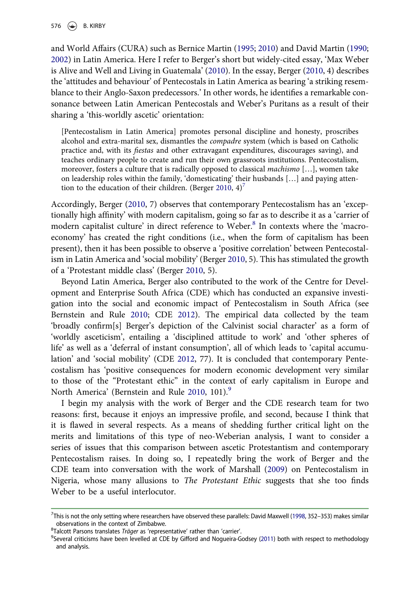and World Affairs (CURA) such as Bernice Martin (1995; 2010) and David Martin (1990; 2002) in Latin America. Here I refer to Berger's short but widely-cited essay, 'Max Weber is Alive and Well and Living in Guatemala' (2010). In the essay, Berger (2010, 4) describes the 'attitudes and behaviour' of Pentecostals in Latin America as bearing 'a striking resemblance to their Anglo-Saxon predecessors.' In other words, he identifies a remarkable consonance between Latin American Pentecostals and Weber's Puritans as a result of their sharing a 'this-worldly ascetic' orientation:

[Pentecostalism in Latin America] promotes personal discipline and honesty, proscribes alcohol and extra-marital sex, dismantles the compadre system (which is based on Catholic practice and, with its fiestas and other extravagant expenditures, discourages saving), and teaches ordinary people to create and run their own grassroots institutions. Pentecostalism, moreover, fosters a culture that is radically opposed to classical machismo [...], women take on leadership roles within the family, 'domesticating' their husbands […] and paying attention to the education of their children. (Berger 2010,  $4$ )<sup>7</sup>

Accordingly, Berger (2010, 7) observes that contemporary Pentecostalism has an 'exceptionally high affinity' with modern capitalism, going so far as to describe it as a 'carrier of modern capitalist culture' in direct reference to Weber.<sup>8</sup> In contexts where the 'macroeconomy' has created the right conditions (i.e., when the form of capitalism has been present), then it has been possible to observe a 'positive correlation' between Pentecostalism in Latin America and 'social mobility' (Berger 2010, 5). This has stimulated the growth of a 'Protestant middle class' (Berger 2010, 5).

Beyond Latin America, Berger also contributed to the work of the Centre for Development and Enterprise South Africa (CDE) which has conducted an expansive investigation into the social and economic impact of Pentecostalism in South Africa (see Bernstein and Rule 2010; CDE 2012). The empirical data collected by the team 'broadly confirm[s] Berger's depiction of the Calvinist social character' as a form of 'worldly asceticism', entailing a 'disciplined attitude to work' and 'other spheres of life' as well as a 'deferral of instant consumption', all of which leads to 'capital accumulation' and 'social mobility' (CDE 2012, 77). It is concluded that contemporary Pentecostalism has 'positive consequences for modern economic development very similar to those of the "Protestant ethic" in the context of early capitalism in Europe and North America' (Bernstein and Rule 2010, 101).<sup>9</sup>

I begin my analysis with the work of Berger and the CDE research team for two reasons: first, because it enjoys an impressive profile, and second, because I think that it is flawed in several respects. As a means of shedding further critical light on the merits and limitations of this type of neo-Weberian analysis, I want to consider a series of issues that this comparison between ascetic Protestantism and contemporary Pentecostalism raises. In doing so, I repeatedly bring the work of Berger and the CDE team into conversation with the work of Marshall (2009) on Pentecostalism in Nigeria, whose many allusions to The Protestant Ethic suggests that she too finds Weber to be a useful interlocutor.

<sup>7</sup> This is not the only setting where researchers have observed these parallels: David Maxwell (1998, 352–353) makes similar observations in the context of Zimbabwe.

<sup>&</sup>lt;sup>8</sup>Talcott Parsons translates Träger as 'representative' rather than 'carrier'.

<sup>&</sup>lt;sup>9</sup>Several criticisms have been levelled at CDE by Gifford and Nogueira-Godsey (2011) both with respect to methodology and analysis.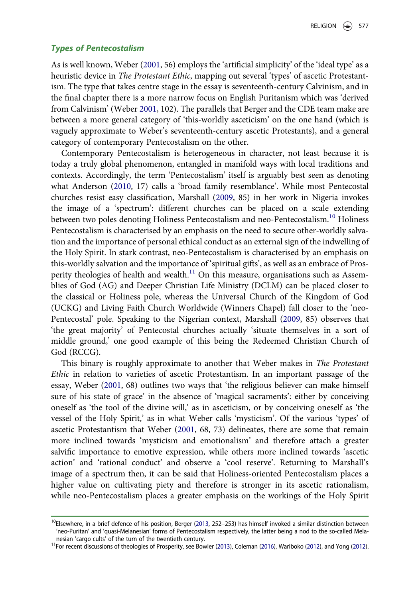#### Types of Pentecostalism

As is well known, Weber (2001, 56) employs the 'artificial simplicity' of the 'ideal type' as a heuristic device in The Protestant Ethic, mapping out several 'types' of ascetic Protestantism. The type that takes centre stage in the essay is seventeenth-century Calvinism, and in the final chapter there is a more narrow focus on English Puritanism which was 'derived from Calvinism' (Weber 2001, 102). The parallels that Berger and the CDE team make are between a more general category of 'this-worldly asceticism' on the one hand (which is vaguely approximate to Weber's seventeenth-century ascetic Protestants), and a general category of contemporary Pentecostalism on the other.

Contemporary Pentecostalism is heterogeneous in character, not least because it is today a truly global phenomenon, entangled in manifold ways with local traditions and contexts. Accordingly, the term 'Pentecostalism' itself is arguably best seen as denoting what Anderson (2010, 17) calls a 'broad family resemblance'. While most Pentecostal churches resist easy classification, Marshall (2009, 85) in her work in Nigeria invokes the image of a 'spectrum': different churches can be placed on a scale extending between two poles denoting Holiness Pentecostalism and neo-Pentecostalism.<sup>10</sup> Holiness Pentecostalism is characterised by an emphasis on the need to secure other-worldly salvation and the importance of personal ethical conduct as an external sign of the indwelling of the Holy Spirit. In stark contrast, neo-Pentecostalism is characterised by an emphasis on this-worldly salvation and the importance of 'spiritual gifts', as well as an embrace of Prosperity theologies of health and wealth. $11$  On this measure, organisations such as Assemblies of God (AG) and Deeper Christian Life Ministry (DCLM) can be placed closer to the classical or Holiness pole, whereas the Universal Church of the Kingdom of God (UCKG) and Living Faith Church Worldwide (Winners Chapel) fall closer to the 'neo-Pentecostal' pole. Speaking to the Nigerian context, Marshall (2009, 85) observes that 'the great majority' of Pentecostal churches actually 'situate themselves in a sort of middle ground,' one good example of this being the Redeemed Christian Church of God (RCCG).

This binary is roughly approximate to another that Weber makes in The Protestant Ethic in relation to varieties of ascetic Protestantism. In an important passage of the essay, Weber (2001, 68) outlines two ways that 'the religious believer can make himself sure of his state of grace' in the absence of 'magical sacraments': either by conceiving oneself as 'the tool of the divine will,' as in asceticism, or by conceiving oneself as 'the vessel of the Holy Spirit,' as in what Weber calls 'mysticism'. Of the various 'types' of ascetic Protestantism that Weber (2001, 68, 73) delineates, there are some that remain more inclined towards 'mysticism and emotionalism' and therefore attach a greater salvific importance to emotive expression, while others more inclined towards 'ascetic action' and 'rational conduct' and observe a 'cool reserve'. Returning to Marshall's image of a spectrum then, it can be said that Holiness-oriented Pentecostalism places a higher value on cultivating piety and therefore is stronger in its ascetic rationalism, while neo-Pentecostalism places a greater emphasis on the workings of the Holy Spirit

<sup>&</sup>lt;sup>10</sup>Elsewhere, in a brief defence of his position, Berger (2013, 252–253) has himself invoked a similar distinction between 'neo-Puritan' and 'quasi-Melanesian' forms of Pentecostalism respectively, the latter being a nod to the so-called Melanesian 'cargo cults' of the turn of the twentieth century.

<sup>&</sup>lt;sup>11</sup>For recent discussions of theologies of Prosperity, see Bowler (2013), Coleman (2016), Wariboko (2012), and Yong (2012).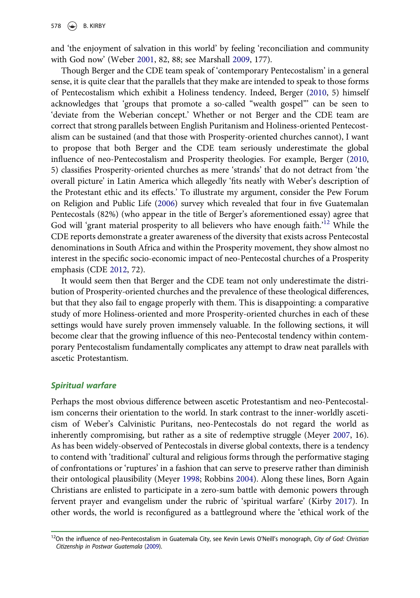and 'the enjoyment of salvation in this world' by feeling 'reconciliation and community with God now' (Weber 2001, 82, 88; see Marshall 2009, 177).

Though Berger and the CDE team speak of 'contemporary Pentecostalism' in a general sense, it is quite clear that the parallels that they make are intended to speak to those forms of Pentecostalism which exhibit a Holiness tendency. Indeed, Berger (2010, 5) himself acknowledges that 'groups that promote a so-called "wealth gospel"' can be seen to 'deviate from the Weberian concept.' Whether or not Berger and the CDE team are correct that strong parallels between English Puritanism and Holiness-oriented Pentecostalism can be sustained (and that those with Prosperity-oriented churches cannot), I want to propose that both Berger and the CDE team seriously underestimate the global influence of neo-Pentecostalism and Prosperity theologies. For example, Berger (2010, 5) classifies Prosperity-oriented churches as mere 'strands' that do not detract from 'the overall picture' in Latin America which allegedly 'fits neatly with Weber's description of the Protestant ethic and its effects.' To illustrate my argument, consider the Pew Forum on Religion and Public Life (2006) survey which revealed that four in five Guatemalan Pentecostals (82%) (who appear in the title of Berger's aforementioned essay) agree that God will 'grant material prosperity to all believers who have enough faith.<sup>'12</sup> While the CDE reports demonstrate a greater awareness of the diversity that exists across Pentecostal denominations in South Africa and within the Prosperity movement, they show almost no interest in the specific socio-economic impact of neo-Pentecostal churches of a Prosperity emphasis (CDE 2012, 72).

It would seem then that Berger and the CDE team not only underestimate the distribution of Prosperity-oriented churches and the prevalence of these theological differences, but that they also fail to engage properly with them. This is disappointing: a comparative study of more Holiness-oriented and more Prosperity-oriented churches in each of these settings would have surely proven immensely valuable. In the following sections, it will become clear that the growing influence of this neo-Pentecostal tendency within contemporary Pentecostalism fundamentally complicates any attempt to draw neat parallels with ascetic Protestantism.

#### Spiritual warfare

Perhaps the most obvious difference between ascetic Protestantism and neo-Pentecostalism concerns their orientation to the world. In stark contrast to the inner-worldly asceticism of Weber's Calvinistic Puritans, neo-Pentecostals do not regard the world as inherently compromising, but rather as a site of redemptive struggle (Meyer 2007, 16). As has been widely-observed of Pentecostals in diverse global contexts, there is a tendency to contend with 'traditional' cultural and religious forms through the performative staging of confrontations or 'ruptures' in a fashion that can serve to preserve rather than diminish their ontological plausibility (Meyer 1998; Robbins 2004). Along these lines, Born Again Christians are enlisted to participate in a zero-sum battle with demonic powers through fervent prayer and evangelism under the rubric of 'spiritual warfare' (Kirby 2017). In other words, the world is reconfigured as a battleground where the 'ethical work of the

<sup>&</sup>lt;sup>12</sup>On the influence of neo-Pentecostalism in Guatemala City, see Kevin Lewis O'Neill's monograph, City of God: Christian Citizenship in Postwar Guatemala (2009).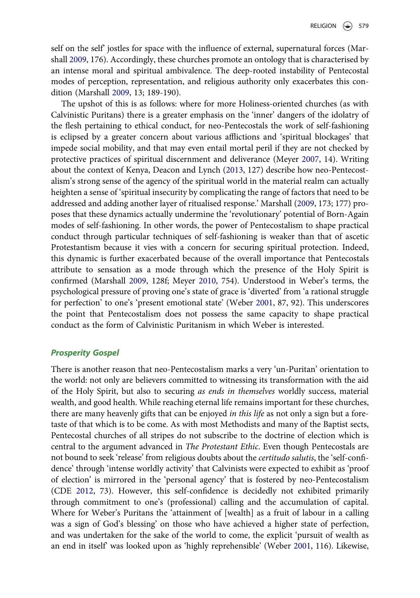self on the self' jostles for space with the influence of external, supernatural forces (Marshall 2009, 176). Accordingly, these churches promote an ontology that is characterised by an intense moral and spiritual ambivalence. The deep-rooted instability of Pentecostal modes of perception, representation, and religious authority only exacerbates this condition (Marshall 2009, 13; 189-190).

The upshot of this is as follows: where for more Holiness-oriented churches (as with Calvinistic Puritans) there is a greater emphasis on the 'inner' dangers of the idolatry of the flesh pertaining to ethical conduct, for neo-Pentecostals the work of self-fashioning is eclipsed by a greater concern about various afflictions and 'spiritual blockages' that impede social mobility, and that may even entail mortal peril if they are not checked by protective practices of spiritual discernment and deliverance (Meyer 2007, 14). Writing about the context of Kenya, Deacon and Lynch (2013, 127) describe how neo-Pentecostalism's strong sense of the agency of the spiritual world in the material realm can actually heighten a sense of 'spiritual insecurity by complicating the range of factors that need to be addressed and adding another layer of ritualised response.' Marshall (2009, 173; 177) proposes that these dynamics actually undermine the 'revolutionary' potential of Born-Again modes of self-fashioning. In other words, the power of Pentecostalism to shape practical conduct through particular techniques of self-fashioning is weaker than that of ascetic Protestantism because it vies with a concern for securing spiritual protection. Indeed, this dynamic is further exacerbated because of the overall importance that Pentecostals attribute to sensation as a mode through which the presence of the Holy Spirit is confirmed (Marshall 2009, 128f; Meyer 2010, 754). Understood in Weber's terms, the psychological pressure of proving one's state of grace is 'diverted' from 'a rational struggle for perfection' to one's 'present emotional state' (Weber 2001, 87, 92). This underscores the point that Pentecostalism does not possess the same capacity to shape practical conduct as the form of Calvinistic Puritanism in which Weber is interested.

#### Prosperity Gospel

There is another reason that neo-Pentecostalism marks a very 'un-Puritan' orientation to the world: not only are believers committed to witnessing its transformation with the aid of the Holy Spirit, but also to securing as ends in themselves worldly success, material wealth, and good health. While reaching eternal life remains important for these churches, there are many heavenly gifts that can be enjoyed in this life as not only a sign but a foretaste of that which is to be come. As with most Methodists and many of the Baptist sects, Pentecostal churches of all stripes do not subscribe to the doctrine of election which is central to the argument advanced in The Protestant Ethic. Even though Pentecostals are not bound to seek 'release' from religious doubts about the certitudo salutis, the 'self-confidence' through 'intense worldly activity' that Calvinists were expected to exhibit as 'proof of election' is mirrored in the 'personal agency' that is fostered by neo-Pentecostalism (CDE 2012, 73). However, this self-confidence is decidedly not exhibited primarily through commitment to one's (professional) calling and the accumulation of capital. Where for Weber's Puritans the 'attainment of [wealth] as a fruit of labour in a calling was a sign of God's blessing' on those who have achieved a higher state of perfection, and was undertaken for the sake of the world to come, the explicit 'pursuit of wealth as an end in itself' was looked upon as 'highly reprehensible' (Weber 2001, 116). Likewise,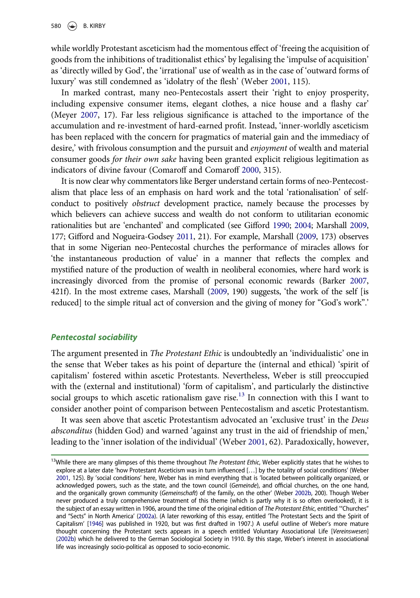while worldly Protestant asceticism had the momentous effect of 'freeing the acquisition of goods from the inhibitions of traditionalist ethics' by legalising the 'impulse of acquisition' as 'directly willed by God', the 'irrational' use of wealth as in the case of 'outward forms of luxury' was still condemned as 'idolatry of the flesh' (Weber 2001, 115).

In marked contrast, many neo-Pentecostals assert their 'right to enjoy prosperity, including expensive consumer items, elegant clothes, a nice house and a flashy car' (Meyer 2007, 17). Far less religious significance is attached to the importance of the accumulation and re-investment of hard-earned profit. Instead, 'inner-worldly asceticism has been replaced with the concern for pragmatics of material gain and the immediacy of desire,' with frivolous consumption and the pursuit and enjoyment of wealth and material consumer goods for their own sake having been granted explicit religious legitimation as indicators of divine favour (Comaroff and Comaroff 2000, 315).

It is now clear why commentators like Berger understand certain forms of neo-Pentecostalism that place less of an emphasis on hard work and the total 'rationalisation' of selfconduct to positively obstruct development practice, namely because the processes by which believers can achieve success and wealth do not conform to utilitarian economic rationalities but are 'enchanted' and complicated (see Gifford 1990; 2004; Marshall 2009, 177; Gifford and Nogueira-Godsey 2011, 21). For example, Marshall (2009, 173) observes that in some Nigerian neo-Pentecostal churches the performance of miracles allows for 'the instantaneous production of value' in a manner that reflects the complex and mystified nature of the production of wealth in neoliberal economies, where hard work is increasingly divorced from the promise of personal economic rewards (Barker 2007, 421f). In the most extreme cases, Marshall (2009, 190) suggests, 'the work of the self [is reduced] to the simple ritual act of conversion and the giving of money for "God's work".'

#### Pentecostal sociability

The argument presented in The Protestant Ethic is undoubtedly an 'individualistic' one in the sense that Weber takes as his point of departure the (internal and ethical) 'spirit of capitalism' fostered within ascetic Protestants. Nevertheless, Weber is still preoccupied with the (external and institutional) 'form of capitalism', and particularly the distinctive social groups to which ascetic rationalism gave rise.<sup>13</sup> In connection with this I want to consider another point of comparison between Pentecostalism and ascetic Protestantism.

It was seen above that ascetic Protestantism advocated an 'exclusive trust' in the Deus absconditus (hidden God) and warned 'against any trust in the aid of friendship of men,' leading to the 'inner isolation of the individual' (Weber 2001, 62). Paradoxically, however,

 $13$ While there are many glimpses of this theme throughout *The Protestant Ethic*, Weber explicitly states that he wishes to explore at a later date 'how Protestant Asceticism was in turn influenced […] by the totality of social conditions' (Weber 2001, 125). By 'social conditions' here, Weber has in mind everything that is 'located between politically organized, or acknowledged powers, such as the state, and the town council (Gemeinde), and official churches, on the one hand, and the organically grown community (Gemeinschaft) of the family, on the other' (Weber 2002b, 200). Though Weber never produced a truly comprehensive treatment of this theme (which is partly why it is so often overlooked), it is the subject of an essay written in 1906, around the time of the original edition of The Protestant Ethic, entitled "Churches" and "Sects" in North America' (2002a). (A later reworking of this essay, entitled 'The Protestant Sects and the Spirit of Capitalism' [1946] was published in 1920, but was first drafted in 1907.) A useful outline of Weber's more mature thought concerning the Protestant sects appears in a speech entitled Voluntary Associational Life [Vereinswesen] (2002b) which he delivered to the German Sociological Society in 1910. By this stage, Weber's interest in associational life was increasingly socio-political as opposed to socio-economic.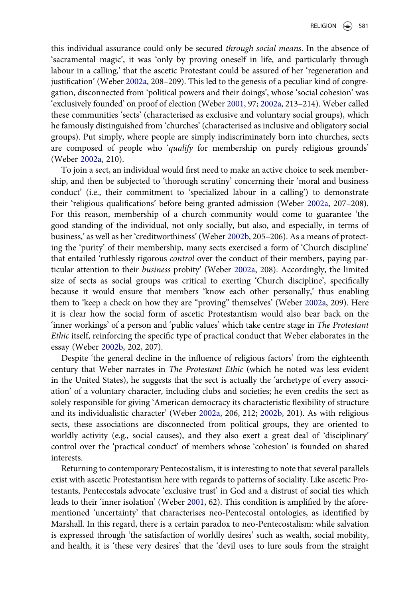this individual assurance could only be secured through social means. In the absence of 'sacramental magic', it was 'only by proving oneself in life, and particularly through labour in a calling,' that the ascetic Protestant could be assured of her 'regeneration and justification' (Weber 2002a, 208–209). This led to the genesis of a peculiar kind of congregation, disconnected from 'political powers and their doings', whose 'social cohesion' was 'exclusively founded' on proof of election (Weber 2001, 97; 2002a, 213–214). Weber called these communities 'sects' (characterised as exclusive and voluntary social groups), which he famously distinguished from 'churches' (characterised as inclusive and obligatory social groups). Put simply, where people are simply indiscriminately born into churches, sects are composed of people who 'qualify for membership on purely religious grounds' (Weber 2002a, 210).

To join a sect, an individual would first need to make an active choice to seek membership, and then be subjected to 'thorough scrutiny' concerning their 'moral and business conduct' (i.e., their commitment to 'specialized labour in a calling') to demonstrate their 'religious qualifications' before being granted admission (Weber 2002a, 207–208). For this reason, membership of a church community would come to guarantee 'the good standing of the individual, not only socially, but also, and especially, in terms of business,' as well as her 'creditworthiness' (Weber 2002b, 205–206). As a means of protecting the 'purity' of their membership, many sects exercised a form of 'Church discipline' that entailed 'ruthlessly rigorous control over the conduct of their members, paying particular attention to their business probity' (Weber 2002a, 208). Accordingly, the limited size of sects as social groups was critical to exerting 'Church discipline', specifically because it would ensure that members 'know each other personally,' thus enabling them to 'keep a check on how they are "proving" themselves' (Weber 2002a, 209). Here it is clear how the social form of ascetic Protestantism would also bear back on the 'inner workings' of a person and 'public values' which take centre stage in The Protestant Ethic itself, reinforcing the specific type of practical conduct that Weber elaborates in the essay (Weber 2002b, 202, 207).

Despite 'the general decline in the influence of religious factors' from the eighteenth century that Weber narrates in The Protestant Ethic (which he noted was less evident in the United States), he suggests that the sect is actually the 'archetype of every association' of a voluntary character, including clubs and societies; he even credits the sect as solely responsible for giving 'American democracy its characteristic flexibility of structure and its individualistic character' (Weber 2002a, 206, 212; 2002b, 201). As with religious sects, these associations are disconnected from political groups, they are oriented to worldly activity (e.g., social causes), and they also exert a great deal of 'disciplinary' control over the 'practical conduct' of members whose 'cohesion' is founded on shared interests.

Returning to contemporary Pentecostalism, it is interesting to note that several parallels exist with ascetic Protestantism here with regards to patterns of sociality. Like ascetic Protestants, Pentecostals advocate 'exclusive trust' in God and a distrust of social ties which leads to their 'inner isolation' (Weber 2001, 62). This condition is amplified by the aforementioned 'uncertainty' that characterises neo-Pentecostal ontologies, as identified by Marshall. In this regard, there is a certain paradox to neo-Pentecostalism: while salvation is expressed through 'the satisfaction of worldly desires' such as wealth, social mobility, and health, it is 'these very desires' that the 'devil uses to lure souls from the straight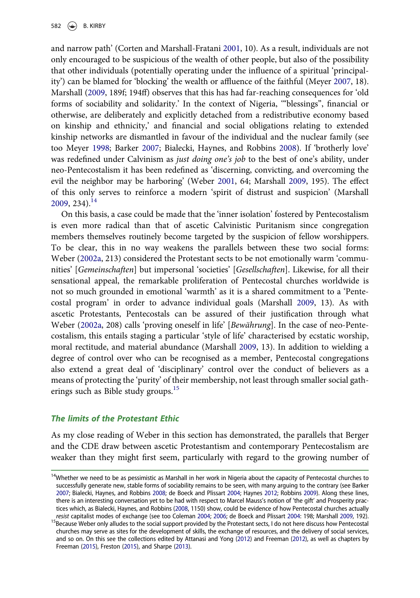and narrow path' (Corten and Marshall-Fratani 2001, 10). As a result, individuals are not only encouraged to be suspicious of the wealth of other people, but also of the possibility that other individuals (potentially operating under the influence of a spiritual 'principality') can be blamed for 'blocking' the wealth or affluence of the faithful (Meyer 2007, 18). Marshall (2009, 189f; 194ff) observes that this has had far-reaching consequences for 'old forms of sociability and solidarity.' In the context of Nigeria, '"blessings", financial or otherwise, are deliberately and explicitly detached from a redistributive economy based on kinship and ethnicity,' and financial and social obligations relating to extended kinship networks are dismantled in favour of the individual and the nuclear family (see too Meyer 1998; Barker 2007; Bialecki, Haynes, and Robbins 2008). If 'brotherly love' was redefined under Calvinism as just doing one's job to the best of one's ability, under neo-Pentecostalism it has been redefined as 'discerning, convicting, and overcoming the evil the neighbor may be harboring' (Weber 2001, 64; Marshall 2009, 195). The effect of this only serves to reinforce a modern 'spirit of distrust and suspicion' (Marshall  $2009, 234$ <sup>14</sup>

On this basis, a case could be made that the 'inner isolation' fostered by Pentecostalism is even more radical than that of ascetic Calvinistic Puritanism since congregation members themselves routinely become targeted by the suspicion of fellow worshippers. To be clear, this in no way weakens the parallels between these two social forms: Weber (2002a, 213) considered the Protestant sects to be not emotionally warm 'communities' [Gemeinschaften] but impersonal 'societies' [Gesellschaften]. Likewise, for all their sensational appeal, the remarkable proliferation of Pentecostal churches worldwide is not so much grounded in emotional 'warmth' as it is a shared commitment to a 'Pentecostal program' in order to advance individual goals (Marshall 2009, 13). As with ascetic Protestants, Pentecostals can be assured of their justification through what Weber (2002a, 208) calls 'proving oneself in life' [Bewährung]. In the case of neo-Pentecostalism, this entails staging a particular 'style of life' characterised by ecstatic worship, moral rectitude, and material abundance (Marshall 2009, 13). In addition to wielding a degree of control over who can be recognised as a member, Pentecostal congregations also extend a great deal of 'disciplinary' control over the conduct of believers as a means of protecting the 'purity' of their membership, not least through smaller social gatherings such as Bible study groups.<sup>15</sup>

#### The limits of the Protestant Ethic

As my close reading of Weber in this section has demonstrated, the parallels that Berger and the CDE draw between ascetic Protestantism and contemporary Pentecostalism are weaker than they might first seem, particularly with regard to the growing number of

<sup>&</sup>lt;sup>14</sup>Whether we need to be as pessimistic as Marshall in her work in Nigeria about the capacity of Pentecostal churches to successfully generate new, stable forms of sociability remains to be seen, with many arguing to the contrary (see Barker 2007; Bialecki, Haynes, and Robbins 2008; de Boeck and Plissart 2004; Haynes 2012; Robbins 2009). Along these lines, there is an interesting conversation yet to be had with respect to Marcel Mauss's notion of 'the gift' and Prosperity practices which, as Bialecki, Haynes, and Robbins (2008, 1150) show, could be evidence of how Pentecostal churches actually resist capitalist modes of exchange (see too Coleman 2004; 2006; de Boeck and Plissart 2004: 198; Marshall 2009, 192).

<sup>&</sup>lt;sup>15</sup>Because Weber only alludes to the social support provided by the Protestant sects, I do not here discuss how Pentecostal churches may serve as sites for the development of skills, the exchange of resources, and the delivery of social services, and so on. On this see the collections edited by Attanasi and Yong (2012) and Freeman (2012), as well as chapters by Freeman (2015), Freston (2015), and Sharpe (2013).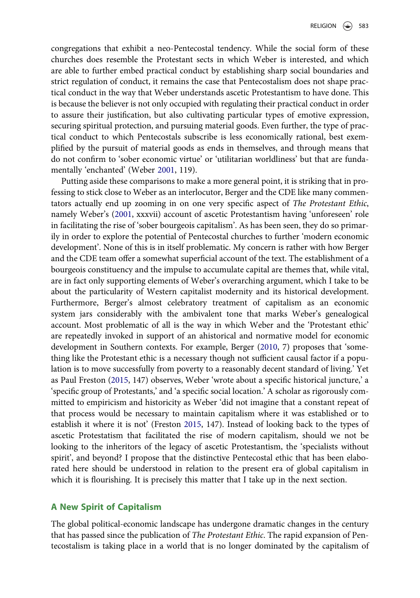congregations that exhibit a neo-Pentecostal tendency. While the social form of these churches does resemble the Protestant sects in which Weber is interested, and which are able to further embed practical conduct by establishing sharp social boundaries and strict regulation of conduct, it remains the case that Pentecostalism does not shape practical conduct in the way that Weber understands ascetic Protestantism to have done. This is because the believer is not only occupied with regulating their practical conduct in order to assure their justification, but also cultivating particular types of emotive expression, securing spiritual protection, and pursuing material goods. Even further, the type of practical conduct to which Pentecostals subscribe is less economically rational, best exemplified by the pursuit of material goods as ends in themselves, and through means that do not confirm to 'sober economic virtue' or 'utilitarian worldliness' but that are fundamentally 'enchanted' (Weber 2001, 119).

Putting aside these comparisons to make a more general point, it is striking that in professing to stick close to Weber as an interlocutor, Berger and the CDE like many commentators actually end up zooming in on one very specific aspect of The Protestant Ethic, namely Weber's (2001, xxxvii) account of ascetic Protestantism having 'unforeseen' role in facilitating the rise of 'sober bourgeois capitalism'. As has been seen, they do so primarily in order to explore the potential of Pentecostal churches to further 'modern economic development'. None of this is in itself problematic. My concern is rather with how Berger and the CDE team offer a somewhat superficial account of the text. The establishment of a bourgeois constituency and the impulse to accumulate capital are themes that, while vital, are in fact only supporting elements of Weber's overarching argument, which I take to be about the particularity of Western capitalist modernity and its historical development. Furthermore, Berger's almost celebratory treatment of capitalism as an economic system jars considerably with the ambivalent tone that marks Weber's genealogical account. Most problematic of all is the way in which Weber and the 'Protestant ethic' are repeatedly invoked in support of an ahistorical and normative model for economic development in Southern contexts. For example, Berger (2010, 7) proposes that 'something like the Protestant ethic is a necessary though not sufficient causal factor if a population is to move successfully from poverty to a reasonably decent standard of living.' Yet as Paul Freston (2015, 147) observes, Weber 'wrote about a specific historical juncture,' a 'specific group of Protestants,' and 'a specific social location.' A scholar as rigorously committed to empiricism and historicity as Weber 'did not imagine that a constant repeat of that process would be necessary to maintain capitalism where it was established or to establish it where it is not' (Freston 2015, 147). Instead of looking back to the types of ascetic Protestatism that facilitated the rise of modern capitalism, should we not be looking to the inheritors of the legacy of ascetic Protestantism, the 'specialists without spirit', and beyond? I propose that the distinctive Pentecostal ethic that has been elaborated here should be understood in relation to the present era of global capitalism in which it is flourishing. It is precisely this matter that I take up in the next section.

# A New Spirit of Capitalism

The global political-economic landscape has undergone dramatic changes in the century that has passed since the publication of The Protestant Ethic. The rapid expansion of Pentecostalism is taking place in a world that is no longer dominated by the capitalism of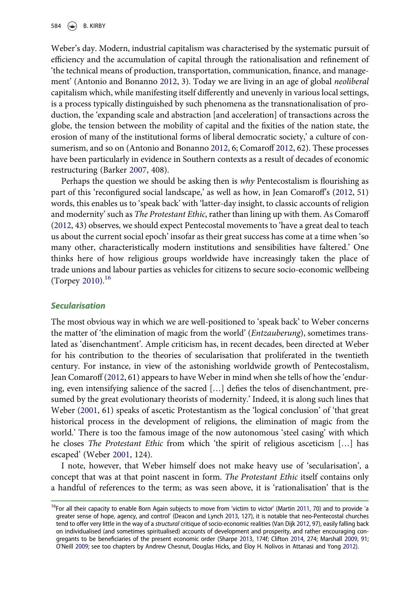Weber's day. Modern, industrial capitalism was characterised by the systematic pursuit of efficiency and the accumulation of capital through the rationalisation and refinement of 'the technical means of production, transportation, communication, finance, and management' (Antonio and Bonanno 2012, 3). Today we are living in an age of global neoliberal capitalism which, while manifesting itself differently and unevenly in various local settings, is a process typically distinguished by such phenomena as the transnationalisation of production, the 'expanding scale and abstraction [and acceleration] of transactions across the globe, the tension between the mobility of capital and the fixities of the nation state, the erosion of many of the institutional forms of liberal democratic society,' a culture of consumerism, and so on (Antonio and Bonanno 2012, 6; Comaroff 2012, 62). These processes have been particularly in evidence in Southern contexts as a result of decades of economic restructuring (Barker 2007, 408).

Perhaps the question we should be asking then is why Pentecostalism is flourishing as part of this 'reconfigured social landscape,' as well as how, in Jean Comaroff's (2012, 51) words, this enables us to 'speak back' with 'latter-day insight, to classic accounts of religion and modernity' such as The Protestant Ethic, rather than lining up with them. As Comaroff (2012, 43) observes, we should expect Pentecostal movements to 'have a great deal to teach us about the current social epoch' insofar as their great success has come at a time when 'so many other, characteristically modern institutions and sensibilities have faltered.' One thinks here of how religious groups worldwide have increasingly taken the place of trade unions and labour parties as vehicles for citizens to secure socio-economic wellbeing (Torpey 2010).<sup>16</sup>

# Secularisation

The most obvious way in which we are well-positioned to 'speak back' to Weber concerns the matter of 'the elimination of magic from the world' (Entzauberung), sometimes translated as 'disenchantment'. Ample criticism has, in recent decades, been directed at Weber for his contribution to the theories of secularisation that proliferated in the twentieth century. For instance, in view of the astonishing worldwide growth of Pentecostalism, Jean Comaroff (2012, 61) appears to have Weber in mind when she tells of how the 'enduring, even intensifying salience of the sacred […] defies the telos of disenchantment, presumed by the great evolutionary theorists of modernity.' Indeed, it is along such lines that Weber (2001, 61) speaks of ascetic Protestantism as the 'logical conclusion' of 'that great historical process in the development of religions, the elimination of magic from the world.' There is too the famous image of the now autonomous 'steel casing' with which he closes *The Protestant Ethic* from which 'the spirit of religious asceticism [...] has escaped' (Weber 2001, 124).

I note, however, that Weber himself does not make heavy use of 'secularisation', a concept that was at that point nascent in form. The Protestant Ethic itself contains only a handful of references to the term; as was seen above, it is 'rationalisation' that is the

<sup>&</sup>lt;sup>16</sup>For all their capacity to enable Born Again subjects to move from 'victim to victor' (Martin 2011, 70) and to provide 'a greater sense of hope, agency, and control' (Deacon and Lynch 2013, 127), it is notable that neo-Pentecostal churches tend to offer very little in the way of a structural critique of socio-economic realities (Van Dijk 2012, 97), easily falling back on individualised (and sometimes spiritualised) accounts of development and prosperity, and rather encouraging congregants to be beneficiaries of the present economic order (Sharpe 2013, 174f; Clifton 2014, 274; Marshall 2009, 91; O'Neill 2009; see too chapters by Andrew Chesnut, Douglas Hicks, and Eloy H. Nolivos in Attanasi and Yong 2012).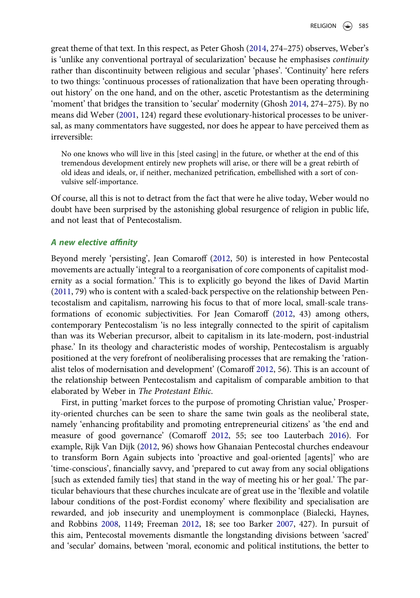great theme of that text. In this respect, as Peter Ghosh (2014, 274–275) observes, Weber's is 'unlike any conventional portrayal of secularization' because he emphasises continuity rather than discontinuity between religious and secular 'phases'. 'Continuity' here refers to two things: 'continuous processes of rationalization that have been operating throughout history' on the one hand, and on the other, ascetic Protestantism as the determining 'moment' that bridges the transition to 'secular' modernity (Ghosh 2014, 274–275). By no means did Weber (2001, 124) regard these evolutionary-historical processes to be universal, as many commentators have suggested, nor does he appear to have perceived them as irreversible:

No one knows who will live in this [steel casing] in the future, or whether at the end of this tremendous development entirely new prophets will arise, or there will be a great rebirth of old ideas and ideals, or, if neither, mechanized petrification, embellished with a sort of convulsive self-importance.

Of course, all this is not to detract from the fact that were he alive today, Weber would no doubt have been surprised by the astonishing global resurgence of religion in public life, and not least that of Pentecostalism.

#### A new elective affinity

Beyond merely 'persisting', Jean Comaroff (2012, 50) is interested in how Pentecostal movements are actually 'integral to a reorganisation of core components of capitalist modernity as a social formation.' This is to explicitly go beyond the likes of David Martin (2011, 79) who is content with a scaled-back perspective on the relationship between Pentecostalism and capitalism, narrowing his focus to that of more local, small-scale transformations of economic subjectivities. For Jean Comaroff (2012, 43) among others, contemporary Pentecostalism 'is no less integrally connected to the spirit of capitalism than was its Weberian precursor, albeit to capitalism in its late-modern, post-industrial phase.' In its theology and characteristic modes of worship, Pentecostalism is arguably positioned at the very forefront of neoliberalising processes that are remaking the 'rationalist telos of modernisation and development' (Comaroff 2012, 56). This is an account of the relationship between Pentecostalism and capitalism of comparable ambition to that elaborated by Weber in The Protestant Ethic.

First, in putting 'market forces to the purpose of promoting Christian value,' Prosperity-oriented churches can be seen to share the same twin goals as the neoliberal state, namely 'enhancing profitability and promoting entrepreneurial citizens' as 'the end and measure of good governance' (Comaroff 2012, 55; see too Lauterbach 2016). For example, Rijk Van Dijk (2012, 96) shows how Ghanaian Pentecostal churches endeavour to transform Born Again subjects into 'proactive and goal-oriented [agents]' who are 'time-conscious', financially savvy, and 'prepared to cut away from any social obligations [such as extended family ties] that stand in the way of meeting his or her goal.' The particular behaviours that these churches inculcate are of great use in the 'flexible and volatile labour conditions of the post-Fordist economy' where flexibility and specialisation are rewarded, and job insecurity and unemployment is commonplace (Bialecki, Haynes, and Robbins 2008, 1149; Freeman 2012, 18; see too Barker 2007, 427). In pursuit of this aim, Pentecostal movements dismantle the longstanding divisions between 'sacred' and 'secular' domains, between 'moral, economic and political institutions, the better to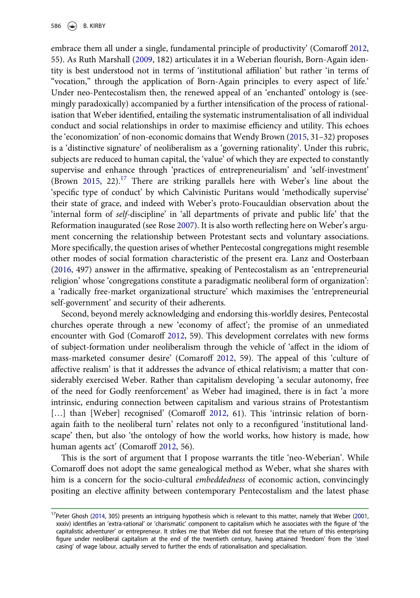embrace them all under a single, fundamental principle of productivity' (Comaroff 2012, 55). As Ruth Marshall (2009, 182) articulates it in a Weberian flourish, Born-Again identity is best understood not in terms of 'institutional affiliation' but rather 'in terms of "vocation," through the application of Born-Again principles to every aspect of life.' Under neo-Pentecostalism then, the renewed appeal of an 'enchanted' ontology is (seemingly paradoxically) accompanied by a further intensification of the process of rationalisation that Weber identified, entailing the systematic instrumentalisation of all individual conduct and social relationships in order to maximise efficiency and utility. This echoes the 'economization' of non-economic domains that Wendy Brown (2015, 31–32) proposes is a 'distinctive signature' of neoliberalism as a 'governing rationality'. Under this rubric, subjects are reduced to human capital, the 'value' of which they are expected to constantly supervise and enhance through 'practices of entrepreneurialism' and 'self-investment' (Brown 2015, 22). $17$  There are striking parallels here with Weber's line about the 'specific type of conduct' by which Calvinistic Puritans would 'methodically supervise' their state of grace, and indeed with Weber's proto-Foucauldian observation about the 'internal form of self-discipline' in 'all departments of private and public life' that the Reformation inaugurated (see Rose 2007). It is also worth reflecting here on Weber's argument concerning the relationship between Protestant sects and voluntary associations. More specifically, the question arises of whether Pentecostal congregations might resemble other modes of social formation characteristic of the present era. Lanz and Oosterbaan (2016, 497) answer in the affirmative, speaking of Pentecostalism as an 'entrepreneurial religion' whose 'congregations constitute a paradigmatic neoliberal form of organization': a 'radically free-market organizational structure' which maximises the 'entrepreneurial self-government' and security of their adherents.

Second, beyond merely acknowledging and endorsing this-worldly desires, Pentecostal churches operate through a new 'economy of affect'; the promise of an unmediated encounter with God (Comaroff 2012, 59). This development correlates with new forms of subject-formation under neoliberalism through the vehicle of 'affect in the idiom of mass-marketed consumer desire' (Comaroff 2012, 59). The appeal of this 'culture of affective realism' is that it addresses the advance of ethical relativism; a matter that considerably exercised Weber. Rather than capitalism developing 'a secular autonomy, free of the need for Godly reenforcement' as Weber had imagined, there is in fact 'a more intrinsic, enduring connection between capitalism and various strains of Protestantism [...] than [Weber] recognised' (Comaroff 2012, 61). This 'intrinsic relation of bornagain faith to the neoliberal turn' relates not only to a reconfigured 'institutional landscape' then, but also 'the ontology of how the world works, how history is made, how human agents act' (Comaroff 2012, 56).

This is the sort of argument that I propose warrants the title 'neo-Weberian'. While Comaroff does not adopt the same genealogical method as Weber, what she shares with him is a concern for the socio-cultural *embeddedness* of economic action, convincingly positing an elective affinity between contemporary Pentecostalism and the latest phase

<sup>&</sup>lt;sup>17</sup>Peter Ghosh (2014, 305) presents an intriguing hypothesis which is relevant to this matter, namely that Weber (2001, xxxiv) identifies an 'extra-rational' or 'charismatic' component to capitalism which he associates with the figure of 'the capitalistic adventurer' or entrepreneur. It strikes me that Weber did not foresee that the return of this enterprising figure under neoliberal capitalism at the end of the twentieth century, having attained 'freedom' from the 'steel casing' of wage labour, actually served to further the ends of rationalisation and specialisation.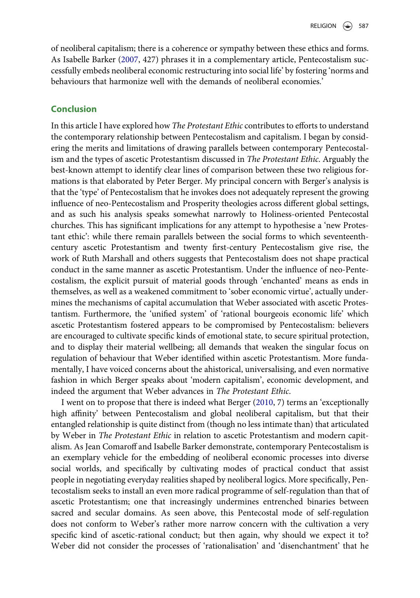of neoliberal capitalism; there is a coherence or sympathy between these ethics and forms. As Isabelle Barker (2007, 427) phrases it in a complementary article, Pentecostalism successfully embeds neoliberal economic restructuring into social life' by fostering 'norms and behaviours that harmonize well with the demands of neoliberal economies.'

## Conclusion

In this article I have explored how The Protestant Ethic contributes to efforts to understand the contemporary relationship between Pentecostalism and capitalism. I began by considering the merits and limitations of drawing parallels between contemporary Pentecostalism and the types of ascetic Protestantism discussed in The Protestant Ethic. Arguably the best-known attempt to identify clear lines of comparison between these two religious formations is that elaborated by Peter Berger. My principal concern with Berger's analysis is that the 'type' of Pentecostalism that he invokes does not adequately represent the growing influence of neo-Pentecostalism and Prosperity theologies across different global settings, and as such his analysis speaks somewhat narrowly to Holiness-oriented Pentecostal churches. This has significant implications for any attempt to hypothesise a 'new Protestant ethic': while there remain parallels between the social forms to which seventeenthcentury ascetic Protestantism and twenty first-century Pentecostalism give rise, the work of Ruth Marshall and others suggests that Pentecostalism does not shape practical conduct in the same manner as ascetic Protestantism. Under the influence of neo-Pentecostalism, the explicit pursuit of material goods through 'enchanted' means as ends in themselves, as well as a weakened commitment to 'sober economic virtue', actually undermines the mechanisms of capital accumulation that Weber associated with ascetic Protestantism. Furthermore, the 'unified system' of 'rational bourgeois economic life' which ascetic Protestantism fostered appears to be compromised by Pentecostalism: believers are encouraged to cultivate specific kinds of emotional state, to secure spiritual protection, and to display their material wellbeing; all demands that weaken the singular focus on regulation of behaviour that Weber identified within ascetic Protestantism. More fundamentally, I have voiced concerns about the ahistorical, universalising, and even normative fashion in which Berger speaks about 'modern capitalism', economic development, and indeed the argument that Weber advances in The Protestant Ethic.

I went on to propose that there is indeed what Berger (2010, 7) terms an 'exceptionally high affinity' between Pentecostalism and global neoliberal capitalism, but that their entangled relationship is quite distinct from (though no less intimate than) that articulated by Weber in The Protestant Ethic in relation to ascetic Protestantism and modern capitalism. As Jean Comaroff and Isabelle Barker demonstrate, contemporary Pentecostalism is an exemplary vehicle for the embedding of neoliberal economic processes into diverse social worlds, and specifically by cultivating modes of practical conduct that assist people in negotiating everyday realities shaped by neoliberal logics. More specifically, Pentecostalism seeks to install an even more radical programme of self-regulation than that of ascetic Protestantism; one that increasingly undermines entrenched binaries between sacred and secular domains. As seen above, this Pentecostal mode of self-regulation does not conform to Weber's rather more narrow concern with the cultivation a very specific kind of ascetic-rational conduct; but then again, why should we expect it to? Weber did not consider the processes of 'rationalisation' and 'disenchantment' that he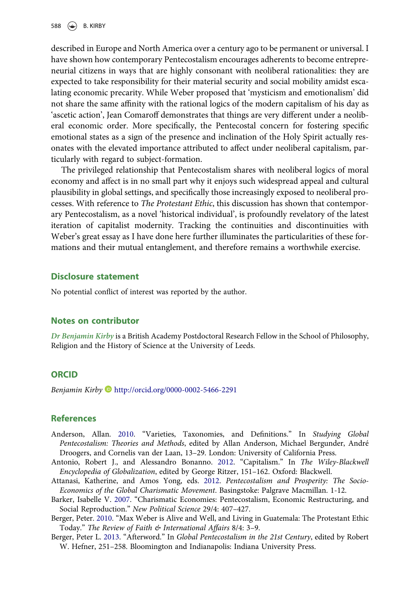described in Europe and North America over a century ago to be permanent or universal. I have shown how contemporary Pentecostalism encourages adherents to become entrepreneurial citizens in ways that are highly consonant with neoliberal rationalities: they are expected to take responsibility for their material security and social mobility amidst escalating economic precarity. While Weber proposed that 'mysticism and emotionalism' did not share the same affinity with the rational logics of the modern capitalism of his day as 'ascetic action', Jean Comaroff demonstrates that things are very different under a neoliberal economic order. More specifically, the Pentecostal concern for fostering specific emotional states as a sign of the presence and inclination of the Holy Spirit actually resonates with the elevated importance attributed to affect under neoliberal capitalism, particularly with regard to subject-formation.

The privileged relationship that Pentecostalism shares with neoliberal logics of moral economy and affect is in no small part why it enjoys such widespread appeal and cultural plausibility in global settings, and specifically those increasingly exposed to neoliberal processes. With reference to The Protestant Ethic, this discussion has shown that contemporary Pentecostalism, as a novel 'historical individual', is profoundly revelatory of the latest iteration of capitalist modernity. Tracking the continuities and discontinuities with Weber's great essay as I have done here further illuminates the particularities of these formations and their mutual entanglement, and therefore remains a worthwhile exercise.

#### Disclosure statement

No potential conflict of interest was reported by the author.

#### Notes on contributor

Dr Benjamin Kirby is a British Academy Postdoctoral Research Fellow in the School of Philosophy, Religion and the History of Science at the University of Leeds.

#### ORCID

Benjamin Kirby D http://orcid.org/0000-0002-5466-2291

#### **References**

- Anderson, Allan. 2010. "Varieties, Taxonomies, and Definitions." In Studying Global Pentecostalism: Theories and Methods, edited by Allan Anderson, Michael Bergunder, André Droogers, and Cornelis van der Laan, 13–29. London: University of California Press.
- Antonio, Robert J., and Alessandro Bonanno. 2012. "Capitalism." In The Wiley-Blackwell Encyclopedia of Globalization, edited by George Ritzer, 151–162. Oxford: Blackwell.
- Attanasi, Katherine, and Amos Yong, eds. 2012. Pentecostalism and Prosperity: The Socio-Economics of the Global Charismatic Movement. Basingstoke: Palgrave Macmillan. 1-12.
- Barker, Isabelle V. 2007. "Charismatic Economies: Pentecostalism, Economic Restructuring, and Social Reproduction." New Political Science 29/4: 407–427.
- Berger, Peter. 2010. "Max Weber is Alive and Well, and Living in Guatemala: The Protestant Ethic Today." The Review of Faith & International Affairs 8/4: 3–9.
- Berger, Peter L. 2013. "Afterword." In Global Pentecostalism in the 21st Century, edited by Robert W. Hefner, 251–258. Bloomington and Indianapolis: Indiana University Press.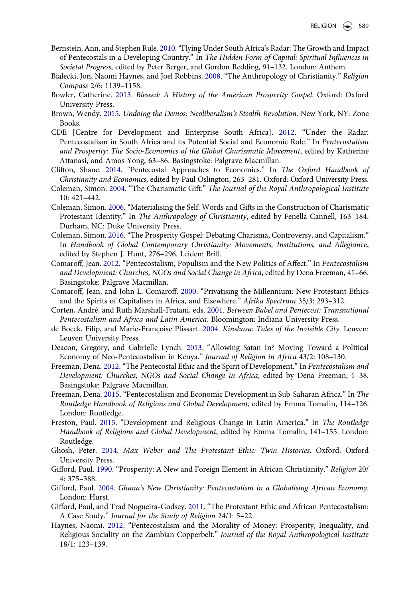- Bernstein, Ann, and Stephen Rule. 2010."Flying Under South Africa's Radar: The Growth and Impact of Pentecostals in a Developing Country." In The Hidden Form of Capital: Spiritual Influences in Societal Progress, edited by Peter Berger, and Gordon Redding, 91–132. London: Anthem.
- Bialecki, Jon, Naomi Haynes, and Joel Robbins. 2008. "The Anthropology of Christianity." Religion Compass 2/6: 1139–1158.
- Bowler, Catherine. 2013. Blessed: A History of the American Prosperity Gospel. Oxford: Oxford University Press.
- Brown, Wendy. 2015. Undoing the Demos: Neoliberalism's Stealth Revolution. New York, NY: Zone Books.
- CDE [Centre for Development and Enterprise South Africa]. 2012. "Under the Radar: Pentecostalism in South Africa and its Potential Social and Economic Role." In Pentecostalism and Prosperity: The Socio-Economics of the Global Charismatic Movement, edited by Katherine Attanasi, and Amos Yong, 63–86. Basingstoke: Palgrave Macmillan.
- Clifton, Shane. 2014. "Pentecostal Approaches to Economics." In The Oxford Handbook of Christianity and Economics, edited by Paul Oslington, 263–281. Oxford: Oxford University Press.
- Coleman, Simon. 2004. "The Charismatic Gift." The Journal of the Royal Anthropological Institute 10: 421–442.
- Coleman, Simon. 2006. "Materialising the Self: Words and Gifts in the Construction of Charismatic Protestant Identity." In The Anthropology of Christianity, edited by Fenella Cannell, 163-184. Durham, NC: Duke University Press.
- Coleman, Simon. 2016. "The Prosperity Gospel: Debating Charisma, Controversy, and Capitalism." In Handbook of Global Contemporary Christianity: Movements, Institutions, and Allegiance, edited by Stephen J. Hunt, 276–296. Leiden: Brill.
- Comaroff, Jean. 2012. "Pentecostalism, Populism and the New Politics of Affect." In Pentecostalism and Development: Churches, NGOs and Social Change in Africa, edited by Dena Freeman, 41–66. Basingstoke: Palgrave Macmillan.
- Comaroff, Jean, and John L. Comaroff. 2000. "Privatising the Millennium: New Protestant Ethics and the Spirits of Capitalism in Africa, and Elsewhere." Afrika Spectrum 35/3: 293-312.
- Corten, André, and Ruth Marshall-Fratani, eds. 2001. Between Babel and Pentecost: Transnational Pentecostalism and Africa and Latin America. Bloomington: Indiana University Press.
- de Boeck, Filip, and Marie-Françoise Plissart. 2004. Kinshasa: Tales of the Invisible City. Leuven: Leuven University Press.
- Deacon, Gregory, and Gabrielle Lynch. 2013. "Allowing Satan In? Moving Toward a Political Economy of Neo-Pentecostalism in Kenya." Journal of Religion in Africa 43/2: 108–130.
- Freeman, Dena. 2012. "The Pentecostal Ethic and the Spirit of Development." In Pentecostalism and Development: Churches, NGOs and Social Change in Africa, edited by Dena Freeman, 1–38. Basingstoke: Palgrave Macmillan.
- Freeman, Dena. 2015. "Pentecostalism and Economic Development in Sub-Saharan Africa." In The Routledge Handbook of Religions and Global Development, edited by Emma Tomalin, 114–126. London: Routledge.
- Freston, Paul. 2015. "Development and Religious Change in Latin America." In The Routledge Handbook of Religions and Global Development, edited by Emma Tomalin, 141–155. London: Routledge.
- Ghosh, Peter. 2014. Max Weber and The Protestant Ethic: Twin Histories. Oxford: Oxford University Press.
- Gifford, Paul. 1990. "Prosperity: A New and Foreign Element in African Christianity." Religion 20/ 4: 375–388.
- Gifford, Paul. 2004. Ghana's New Christianity: Pentecostalism in a Globalising African Economy. London: Hurst.
- Gifford, Paul, and Trad Nogueira-Godsey. 2011. "The Protestant Ethic and African Pentecostalism: A Case Study." Journal for the Study of Religion 24/1: 5–22.
- Haynes, Naomi. 2012. "Pentecostalism and the Morality of Money: Prosperity, Inequality, and Religious Sociality on the Zambian Copperbelt." Journal of the Royal Anthropological Institute 18/1: 123–139.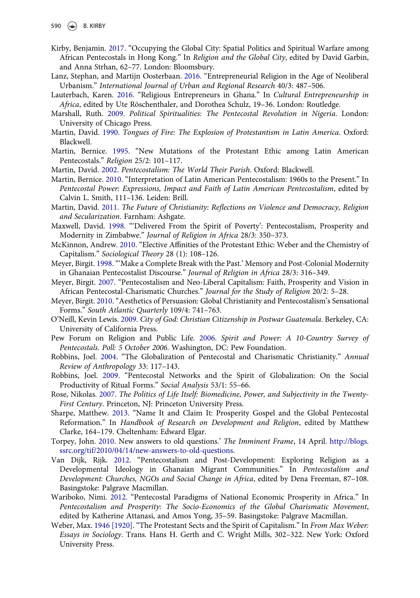- Kirby, Benjamin. 2017. "Occupying the Global City: Spatial Politics and Spiritual Warfare among African Pentecostals in Hong Kong." In Religion and the Global City, edited by David Garbin, and Anna Strhan, 62–77. London: Bloomsbury.
- Lanz, Stephan, and Martijn Oosterbaan. 2016. "Entrepreneurial Religion in the Age of Neoliberal Urbanism." International Journal of Urban and Regional Research 40/3: 487–506.
- Lauterbach, Karen. 2016. "Religious Entrepreneurs in Ghana." In Cultural Entrepreneurship in Africa, edited by Ute Röschenthaler, and Dorothea Schulz, 19–36. London: Routledge.
- Marshall, Ruth. 2009. Political Spiritualities: The Pentecostal Revolution in Nigeria. London: University of Chicago Press.
- Martin, David. 1990. Tongues of Fire: The Explosion of Protestantism in Latin America. Oxford: Blackwell.
- Martin, Bernice. 1995. "New Mutations of the Protestant Ethic among Latin American Pentecostals." Religion 25/2: 101–117.
- Martin, David. 2002. Pentecostalism: The World Their Parish. Oxford: Blackwell.
- Martin, Bernice. 2010. "Interpretation of Latin American Pentecostalism: 1960s to the Present." In Pentecostal Power: Expressions, Impact and Faith of Latin American Pentecostalism, edited by Calvin L. Smith, 111–136. Leiden: Brill.
- Martin, David. 2011. The Future of Christianity: Reflections on Violence and Democracy, Religion and Secularization. Farnham: Ashgate.
- Maxwell, David. 1998. "'Delivered From the Spirit of Poverty': Pentecostalism, Prosperity and Modernity in Zimbabwe." Journal of Religion in Africa 28/3: 350–373.
- McKinnon, Andrew. 2010. "Elective Affinities of the Protestant Ethic: Weber and the Chemistry of Capitalism." Sociological Theory 28 (1): 108–126.
- Meyer, Birgit. 1998. "'Make a Complete Break with the Past.' Memory and Post-Colonial Modernity in Ghanaian Pentecostalist Discourse." Journal of Religion in Africa 28/3: 316–349.
- Meyer, Birgit. 2007. "Pentecostalism and Neo-Liberal Capitalism: Faith, Prosperity and Vision in African Pentecostal-Charismatic Churches." Journal for the Study of Religion 20/2: 5–28.
- Meyer, Birgit. 2010. "Aesthetics of Persuasion: Global Christianity and Pentecostalism's Sensational Forms." South Atlantic Quarterly 109/4: 741–763.
- O'Neill, Kevin Lewis. 2009. City of God: Christian Citizenship in Postwar Guatemala. Berkeley, CA: University of California Press.
- Pew Forum on Religion and Public Life. 2006. Spirit and Power: A 10-Country Survey of Pentecostals. Poll: 5 October 2006. Washington, DC: Pew Foundation.
- Robbins, Joel. 2004. "The Globalization of Pentecostal and Charismatic Christianity." Annual Review of Anthropology 33: 117–143.
- Robbins, Joel. 2009. "Pentecostal Networks and the Spirit of Globalization: On the Social Productivity of Ritual Forms." Social Analysis 53/1: 55–66.
- Rose, Nikolas. 2007. The Politics of Life Itself: Biomedicine, Power, and Subjectivity in the Twenty-First Century. Princeton, NJ: Princeton University Press.
- Sharpe, Matthew. 2013. "Name It and Claim It: Prosperity Gospel and the Global Pentecostal Reformation." In Handbook of Research on Development and Religion, edited by Matthew Clarke, 164–179. Cheltenham: Edward Elgar.
- Torpey, John. 2010. New answers to old questions.' The Imminent Frame, 14 April. http://blogs. ssrc.org/tif/2010/04/14/new-answers-to-old-questions.
- Van Dijk, Rijk. 2012. "Pentecostalism and Post-Development: Exploring Religion as a Developmental Ideology in Ghanaian Migrant Communities." In Pentecostalism and Development: Churches, NGOs and Social Change in Africa, edited by Dena Freeman, 87–108. Basingstoke: Palgrave Macmillan.
- Wariboko, Nimi. 2012. "Pentecostal Paradigms of National Economic Prosperity in Africa." In Pentecostalism and Prosperity: The Socio-Economics of the Global Charismatic Movement, edited by Katherine Attanasi, and Amos Yong, 35–59. Basingstoke: Palgrave Macmillan.
- Weber, Max. 1946 [1920]. "The Protestant Sects and the Spirit of Capitalism." In From Max Weber: Essays in Sociology. Trans. Hans H. Gerth and C. Wright Mills, 302–322. New York: Oxford University Press.